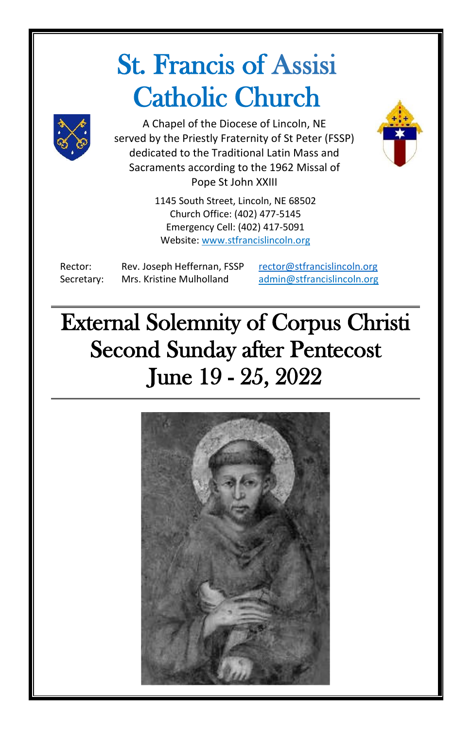# St. Francis of Assisi Catholic Church



A Chapel of the Diocese of Lincoln, NE served by the Priestly Fraternity of St Peter (FSSP) dedicated to the Traditional Latin Mass and Sacraments according to the 1962 Missal of Pope St John XXIII

> 1145 South Street, Lincoln, NE 68502 Church Office: (402) 477-5145 Emergency Cell: (402) 417-5091 Website[: www.stfrancislincoln.org](http://www.stfrancislincoln.org/)

Rector: Rev. Joseph Heffernan, FSSP [rector@stfrancislincoln.org](mailto:rector@stfrancislincoln.org) Secretary: Mrs. Kristine Mulholland [admin@stfrancislincoln.org](mailto:admin@stfrancislincoln.org)

External Solemnity of Corpus Christi Second Sunday after Pentecost June 19 - 25, 2022

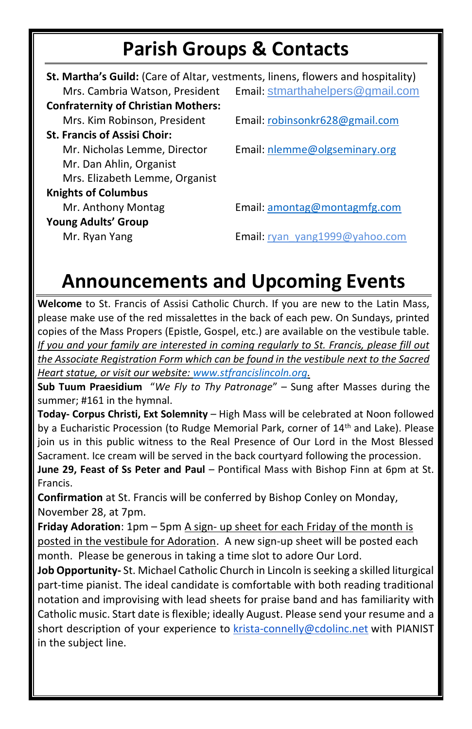#### **Parish Groups & Contacts**

|                                            | St. Martha's Guild: (Care of Altar, vestments, linens, flowers and hospitality) |
|--------------------------------------------|---------------------------------------------------------------------------------|
| Mrs. Cambria Watson, President             | Email: stmarthahelpers@gmail.com                                                |
| <b>Confraternity of Christian Mothers:</b> |                                                                                 |
| Mrs. Kim Robinson, President               | Email: robinsonkr628@gmail.com                                                  |
| <b>St. Francis of Assisi Choir:</b>        |                                                                                 |
| Mr. Nicholas Lemme, Director               | Email: nlemme@olgseminary.org                                                   |
| Mr. Dan Ahlin, Organist                    |                                                                                 |
| Mrs. Elizabeth Lemme, Organist             |                                                                                 |
| <b>Knights of Columbus</b>                 |                                                                                 |
| Mr. Anthony Montag                         | Email: amontag@montagmfg.com                                                    |
| <b>Young Adults' Group</b>                 |                                                                                 |
| Mr. Ryan Yang                              | <b>Email:</b> ryan yang1999@yahoo.com                                           |

#### **Announcements and Upcoming Events**

**Welcome** to St. Francis of Assisi Catholic Church. If you are new to the Latin Mass, please make use of the red missalettes in the back of each pew. On Sundays, printed copies of the Mass Propers (Epistle, Gospel, etc.) are available on the vestibule table. *If you and your family are interested in coming regularly to St. Francis, please fill out the Associate Registration Form which can be found in the vestibule next to the Sacred Heart statue, or visit our website: [www.stfrancislincoln.org.](http://www.stfrancislincoln.org/)*

**Sub Tuum Praesidium** "*We Fly to Thy Patronage*" – Sung after Masses during the summer; #161 in the hymnal.

**Today- Corpus Christi, Ext Solemnity** – High Mass will be celebrated at Noon followed by a Eucharistic Procession (to Rudge Memorial Park, corner of 14<sup>th</sup> and Lake). Please join us in this public witness to the Real Presence of Our Lord in the Most Blessed Sacrament. Ice cream will be served in the back courtyard following the procession.

**June 29, Feast of Ss Peter and Paul** – Pontifical Mass with Bishop Finn at 6pm at St. Francis.

**Confirmation** at St. Francis will be conferred by Bishop Conley on Monday, November 28, at 7pm.

**Friday Adoration**: 1pm – 5pm A sign- up sheet for each Friday of the month is posted in the vestibule for Adoration. A new sign-up sheet will be posted each month. Please be generous in taking a time slot to adore Our Lord.

**Job Opportunity-** St. Michael Catholic Church in Lincoln is seeking a skilled liturgical part-time pianist. The ideal candidate is comfortable with both reading traditional notation and improvising with lead sheets for praise band and has familiarity with Catholic music. Start date is flexible; ideally August. Please send your resume and a short description of your experience to [krista-connelly@cdolinc.net](mailto:krista-vazquez@cdolinc.net) with PIANIST in the subject line.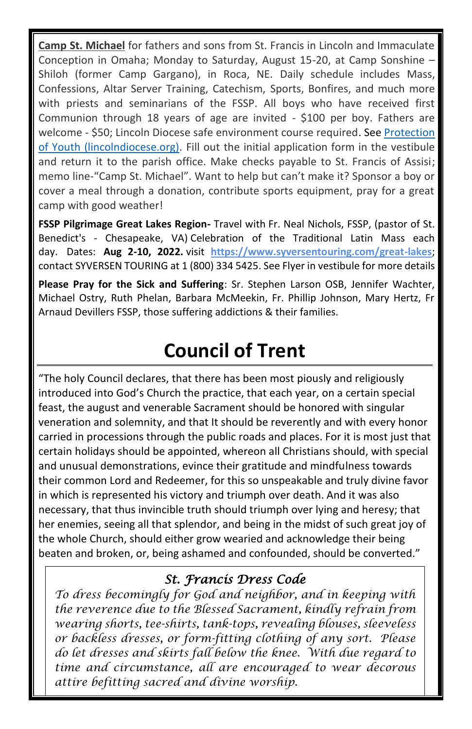**Camp St. Michael** for fathers and sons from St. Francis in Lincoln and Immaculate Conception in Omaha; Monday to Saturday, August 15-20, at Camp Sonshine – Shiloh (former Camp Gargano), in Roca, NE. Daily schedule includes Mass, Confessions, Altar Server Training, Catechism, Sports, Bonfires, and much more with priests and seminarians of the FSSP. All boys who have received first Communion through 18 years of age are invited - \$100 per boy. Fathers are welcome - \$50; Lincoln Diocese safe environment course required. Se[e Protection](https://www.lincolndiocese.org/protection-of-youth/safe-environment)  [of Youth \(lincolndiocese.org\).](https://www.lincolndiocese.org/protection-of-youth/safe-environment) Fill out the initial application form in the vestibule and return it to the parish office. Make checks payable to St. Francis of Assisi; memo line-"Camp St. Michael". Want to help but can't make it? Sponsor a boy or cover a meal through a donation, contribute sports equipment, pray for a great camp with good weather!

**FSSP Pilgrimage Great Lakes Region-** Travel with Fr. Neal Nichols, FSSP, (pastor of St. Benedict's - Chesapeake, VA) Celebration of the Traditional Latin Mass each day. Dates: **Aug 2-10, 2022.** visit **<https://www.syversentouring.com/great-lakes>**; contact SYVERSEN TOURING at 1 (800) 334 5425. See Flyer in vestibule for more details

**Please Pray for the Sick and Suffering**: Sr. Stephen Larson OSB, Jennifer Wachter, Michael Ostry, Ruth Phelan, Barbara McMeekin, Fr. Phillip Johnson, Mary Hertz, Fr Arnaud Devillers FSSP, those suffering addictions & their families.

### **Council of Trent**

"The holy Council declares, that there has been most piously and religiously introduced into God's Church the practice, that each year, on a certain special feast, the august and venerable Sacrament should be honored with singular veneration and solemnity, and that It should be reverently and with every honor carried in processions through the public roads and places. For it is most just that certain holidays should be appointed, whereon all Christians should, with special and unusual demonstrations, evince their gratitude and mindfulness towards their common Lord and Redeemer, for this so unspeakable and truly divine favor in which is represented his victory and triumph over death. And it was also necessary, that thus invincible truth should triumph over lying and heresy; that her enemies, seeing all that splendor, and being in the midst of such great joy of the whole Church, should either grow wearied and acknowledge their being beaten and broken, or, being ashamed and confounded, should be converted."

#### *St. Francis Dress Code*

*To dress becomingly for God and neighbor, and in keeping with the reverence due to the Blessed Sacrament, kindly refrain from wearing shorts, tee-shirts, tank-tops, revealing blouses, sleeveless or backless dresses, or form-fitting clothing of any sort. Please do let dresses and skirts fall below the knee. With due regard to time and circumstance, all are encouraged to wear decorous attire befitting sacred and divine worship.*

.